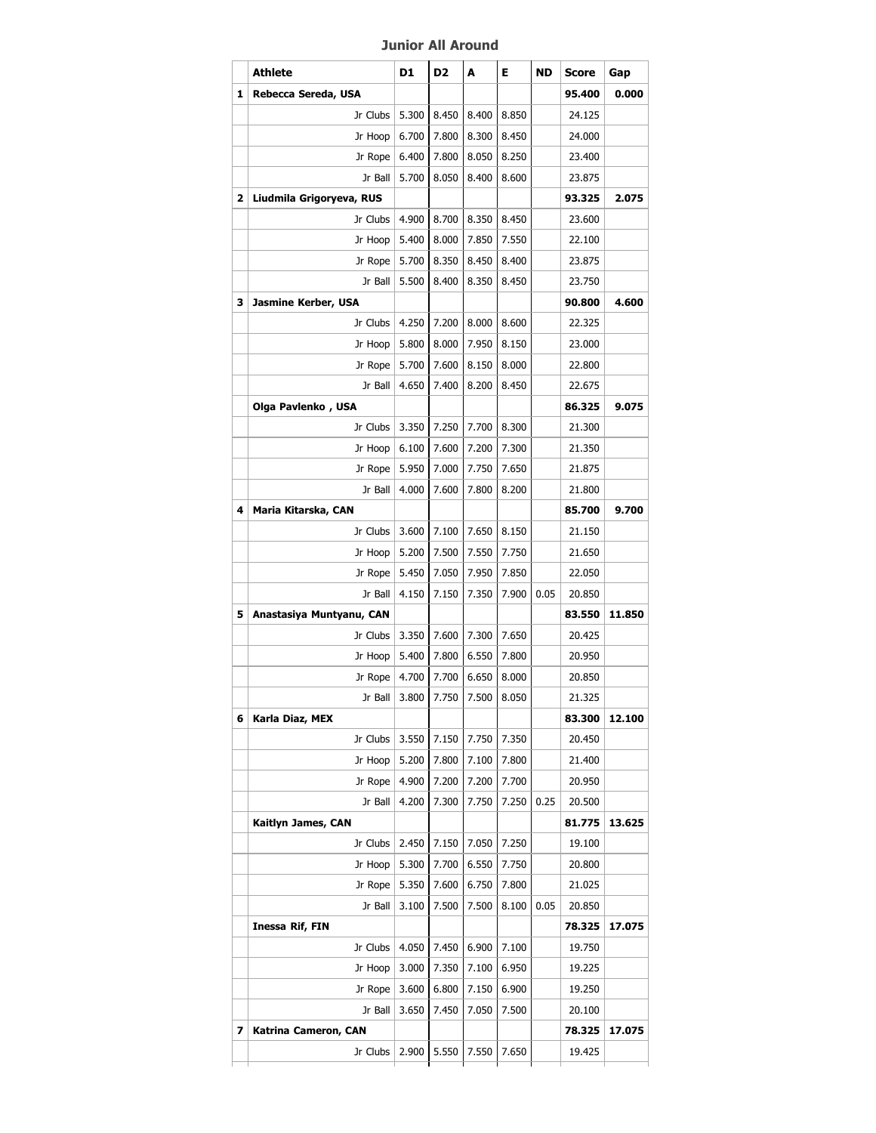## **Junior All Around**

|   | Athlete                  | D1    | D <sub>2</sub> | A     | Е     | ND   | <b>Score</b> | Gap    |
|---|--------------------------|-------|----------------|-------|-------|------|--------------|--------|
| 1 | Rebecca Sereda, USA      |       |                |       |       |      | 95.400       | 0.000  |
|   | Jr Clubs                 | 5.300 | 8.450          | 8.400 | 8.850 |      | 24.125       |        |
|   | Jr Hoop                  | 6.700 | 7.800          | 8.300 | 8.450 |      | 24.000       |        |
|   | Jr Rope                  | 6.400 | 7.800          | 8.050 | 8.250 |      | 23.400       |        |
|   | Jr Ball                  | 5.700 | 8.050          | 8.400 | 8.600 |      | 23.875       |        |
| 2 | Liudmila Grigoryeva, RUS |       |                |       |       |      | 93.325       | 2.075  |
|   | Jr Clubs                 | 4.900 | 8.700          | 8.350 | 8.450 |      | 23.600       |        |
|   | Jr Hoop                  | 5.400 | 8.000          | 7.850 | 7.550 |      | 22.100       |        |
|   | Jr Rope                  | 5.700 | 8.350          | 8.450 | 8.400 |      | 23.875       |        |
|   | Jr Ball                  | 5.500 | 8.400          | 8.350 | 8.450 |      | 23.750       |        |
| 3 | Jasmine Kerber, USA      |       |                |       |       |      | 90.800       | 4.600  |
|   | Jr Clubs                 | 4.250 | 7.200          | 8.000 | 8.600 |      | 22.325       |        |
|   | Jr Hoop                  | 5.800 | 8.000          | 7.950 | 8.150 |      | 23.000       |        |
|   | Jr Rope                  | 5.700 | 7.600          | 8.150 | 8.000 |      | 22.800       |        |
|   | Jr Ball                  | 4.650 | 7.400          | 8.200 | 8.450 |      | 22.675       |        |
|   | Olga Pavlenko, USA       |       |                |       |       |      | 86.325       | 9.075  |
|   | Jr Clubs                 | 3.350 | 7.250          | 7.700 | 8.300 |      | 21.300       |        |
|   | Jr Hoop                  | 6.100 | 7.600          | 7.200 | 7.300 |      | 21.350       |        |
|   | Jr Rope                  | 5.950 | 7.000          | 7.750 | 7.650 |      | 21.875       |        |
|   | Jr Ball                  | 4.000 | 7.600          | 7.800 | 8.200 |      | 21.800       |        |
| 4 | Maria Kitarska, CAN      |       |                |       |       |      | 85.700       | 9.700  |
|   | Jr Clubs                 | 3.600 | 7.100          | 7.650 | 8.150 |      | 21.150       |        |
|   | Jr Hoop                  | 5.200 | 7.500          | 7.550 | 7.750 |      | 21.650       |        |
|   | Jr Rope                  | 5.450 | 7.050          | 7.950 | 7.850 |      | 22.050       |        |
|   | Jr Ball                  | 4.150 | 7.150          | 7.350 | 7.900 | 0.05 | 20.850       |        |
| 5 | Anastasiya Muntyanu, CAN |       |                |       |       |      | 83.550       | 11.850 |
|   | Jr Clubs                 | 3.350 | 7.600          | 7.300 | 7.650 |      | 20.425       |        |
|   | Jr Hoop                  | 5.400 | 7.800          | 6.550 | 7.800 |      | 20.950       |        |
|   | Jr Rope                  | 4.700 | 7.700          | 6.650 | 8.000 |      | 20.850       |        |
|   | Jr Ball                  | 3.800 | 7.750          | 7.500 | 8.050 |      | 21.325       |        |
| 6 | Karla Diaz, MEX          |       |                |       |       |      | 83.300       | 12.100 |
|   | Jr Clubs                 | 3.550 | 7.150          | 7.750 | 7.350 |      | 20.450       |        |
|   | Jr Hoop                  | 5.200 | 7.800          | 7.100 | 7.800 |      | 21.400       |        |
|   | Jr Rope                  | 4.900 | 7.200          | 7.200 | 7.700 |      | 20.950       |        |
|   | Jr Ball                  | 4.200 | 7.300          | 7.750 | 7.250 | 0.25 | 20.500       |        |
|   | Kaitlyn James, CAN       |       |                |       |       |      | 81.775       | 13.625 |
|   | Jr Clubs                 | 2.450 | 7.150          | 7.050 | 7.250 |      | 19.100       |        |
|   | Jr Hoop                  | 5.300 | 7.700          | 6.550 | 7.750 |      | 20,800       |        |
|   | Jr Rope                  | 5.350 | 7.600          | 6.750 | 7.800 |      | 21.025       |        |
|   | Jr Ball                  | 3.100 | 7.500          | 7.500 | 8.100 | 0.05 | 20.850       |        |
|   | Inessa Rif, FIN          |       |                |       |       |      | 78.325       | 17.075 |
|   | Jr Clubs                 | 4.050 | 7.450          | 6.900 | 7.100 |      | 19.750       |        |
|   | Jr Hoop                  | 3.000 | 7.350          | 7.100 | 6.950 |      | 19.225       |        |
|   | Jr Rope                  | 3.600 | 6.800          | 7.150 | 6.900 |      | 19.250       |        |
|   | Jr Ball                  | 3.650 | 7.450          | 7.050 | 7.500 |      | 20.100       |        |
| 7 | Katrina Cameron, CAN     |       |                |       |       |      | 78.325       | 17.075 |
|   | Jr Clubs                 | 2.900 | 5.550          | 7.550 | 7.650 |      | 19.425       |        |